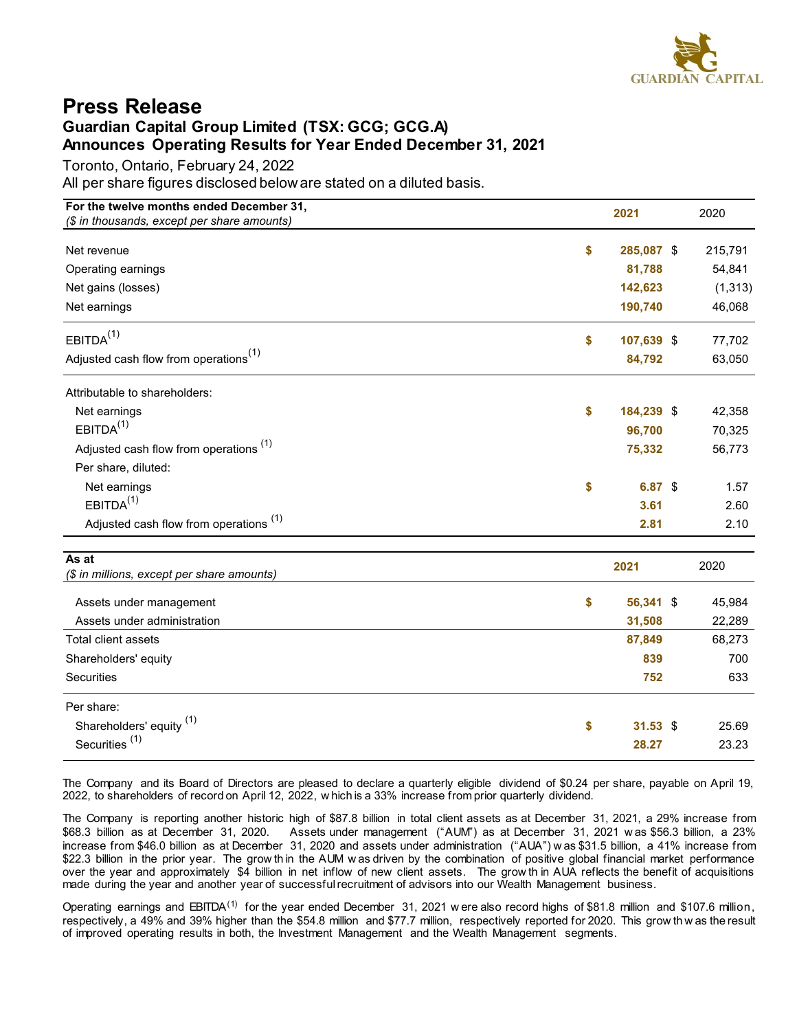

## <span id="page-0-0"></span>**Press Release Guardian Capital Group Limited (TSX: GCG; GCG.A) Announces Operating Results for Year Ended December 31, 2021**

Toronto, Ontario, February 24, 2022

All per share figures disclosed below are stated on a diluted basis.

| For the twelve months ended December 31,          | 2021             | 2020 |          |  |
|---------------------------------------------------|------------------|------|----------|--|
| (\$ in thousands, except per share amounts)       |                  |      |          |  |
| Net revenue                                       | \$<br>285,087 \$ |      | 215,791  |  |
| Operating earnings                                | 81,788           |      | 54,841   |  |
| Net gains (losses)                                | 142,623          |      | (1, 313) |  |
| Net earnings                                      | 190,740          |      | 46,068   |  |
| EBITDA <sup>(1)</sup>                             | \$<br>107,639 \$ |      | 77,702   |  |
| Adjusted cash flow from operations <sup>(1)</sup> | 84,792           |      | 63,050   |  |
| Attributable to shareholders:                     |                  |      |          |  |
| Net earnings                                      | \$<br>184,239 \$ |      | 42,358   |  |
| EBITDA <sup>(1)</sup>                             | 96,700           |      | 70,325   |  |
| Adjusted cash flow from operations <sup>(1)</sup> | 75,332           |      | 56,773   |  |
| Per share, diluted:                               |                  |      |          |  |
| Net earnings                                      | \$<br>6.87 \$    |      | 1.57     |  |
| EBITDA <sup>(1)</sup>                             | 3.61             |      | 2.60     |  |
| Adjusted cash flow from operations <sup>(1)</sup> | 2.81             |      | 2.10     |  |
| As at                                             | 2021             |      | 2020     |  |
| (\$ in millions, except per share amounts)        |                  |      |          |  |
| Assets under management                           | \$<br>56,341 \$  |      | 45,984   |  |
| Assets under administration                       | 31,508           |      | 22,289   |  |
| Total client assets                               | 87,849           |      | 68,273   |  |
| Shareholders' equity                              | 839              |      | 700      |  |
| Securities                                        | 752              |      | 633      |  |
| Per share:                                        |                  |      |          |  |
| Shareholders' equity <sup>(1)</sup>               | \$<br>$31.53$ \$ |      | 25.69    |  |
| Securities <sup>(1)</sup>                         | 28.27            |      | 23.23    |  |

The Company and its Board of Directors are pleased to declare a quarterly eligible dividend of \$0.24 per share, payable on April 19, 2022, to shareholders of record on April 12, 2022, w hich is a 33% increase from prior quarterly dividend.

The Company is reporting another historic high of \$87.8 billion in total client assets as at December 31, 2021, a 29% increase from \$68.3 billion as at December 31, 2020. Assets under management ("AUM") as at December 31, Assets under management ("AUM") as at December 31, 2021 w as \$56.3 billion. a 23% increase from \$46.0 billion as at December 31, 2020 and assets under administration ("AUA") w as \$31.5 billion, a 41% increase from \$22.3 billion in the prior year. The grow thin the AUM w as driven by the combination of positive global financial market performance over the year and approximately \$4 billion in net inflow of new client assets. The grow th in AUA reflects the benefit of acquisitions made during the year and another year of successful recruitment of advisors into our Wealth Management business.

Operating earnings and EBITDA<sup>[\(1\)](#page-1-0)</sup> for the year ended December 31, 2021 w ere also record highs of \$81.8 million and \$107.6 million, respectively, a 49% and 39% higher than the \$54.8 million and \$77.7 million, respectively reported for 2020. This grow th w as the result of improved operating results in both, the Investment Management and the Wealth Management segments.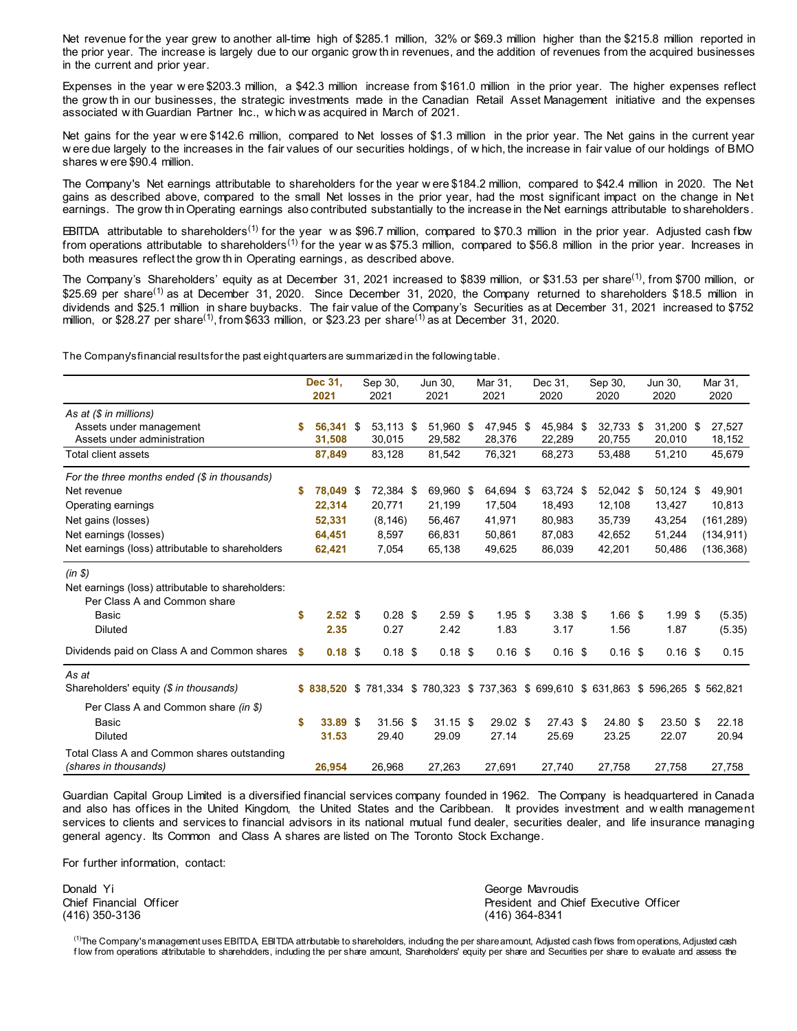<span id="page-1-0"></span>Net revenue for the year grew to another all-time high of \$285.1 million, 32% or \$69.3 million higher than the \$215.8 million reported in the prior year. The increase is largely due to our organic grow th in revenues, and the addition of revenues from the acquired businesses in the current and prior year.

Expenses in the year w ere \$203.3 million, a \$42.3 million increase from \$161.0 million in the prior year. The higher expenses reflect the grow th in our businesses, the strategic investments made in the Canadian Retail Asset Management initiative and the expenses associated w ith Guardian Partner Inc., w hich w as acquired in March of 2021.

Net gains for the year w ere \$142.6 million, compared to Net losses of \$1.3 million in the prior year. The Net gains in the current year w ere due largely to the increases in the fair values of our securities holdings, of w hich, the increase in fair value of our holdings of BMO shares w ere \$90.4 million.

The Company's Net earnings attributable to shareholders for the year w ere \$184.2 million, compared to \$42.4 million in 2020. The Net gains as described above, compared to the small Net losses in the prior year, had the most significant impact on the change in Net earnings. The grow th in Operating earnings also contributed substantially to the increase in the Net earnings attributable to shareholders.

EBITDA attributable to shareholders<sup>[\(1\)](#page-0-0)</sup> for the year was \$96.7 million, compared to \$70.3 million in the prior year. Adjusted cash flow from operations attributable to shareholders<sup>[\(1\)](#page-0-0)</sup> for the year w as \$75.3 million, compared to \$56.8 million in the prior year. Increases in both measures reflect the grow th in Operating earnings, as described above.

The Company's Shareholders' equity as at December 31, 2021 increased to \$839 million, or \$31.53 per share<sup>[\(1\)](#page-0-0)</sup>, from \$700 million, or \$25.69 per share<sup>[\(1\)](#page-0-0)</sup> as at December 31, 2020. Since December 31, 2020, the Company returned to shareholders \$18.5 million in dividends and \$25.1 million in share buybacks. The fair value of the Company's Securities as at December 31, 2021 increased to \$752 million, or \$28.27 per share<sup>[\(1\)](#page-0-0)</sup>, from \$633 million, or \$23.23 per share<sup>(1)</sup> as at December 31, 2020.

The Company's financial results for the past eight quarters are summarized in the following table.

|                                                                                    |      | Dec 31,<br>2021     | Sep 30,<br>2021                                                       | Jun 30,<br>2021     | Mar 31,<br>2021     | Dec 31,<br>2020     | Sep 30,<br>2020     | Jun 30.<br>2020       | Mar 31,<br>2020  |
|------------------------------------------------------------------------------------|------|---------------------|-----------------------------------------------------------------------|---------------------|---------------------|---------------------|---------------------|-----------------------|------------------|
| As at $(\$ in millions)$<br>Assets under management<br>Assets under administration | S    | 56.341 \$<br>31,508 | 53,113 \$<br>30,015                                                   | 51,960 \$<br>29,582 | 47,945 \$<br>28,376 | 45,984 \$<br>22,289 | 32,733 \$<br>20,755 | $31,200$ \$<br>20,010 | 27,527<br>18,152 |
| Total client assets                                                                |      | 87,849              | 83,128                                                                | 81,542              | 76,321              | 68,273              | 53,488              | 51,210                | 45,679           |
| For the three months ended $(\$$ in thousands)                                     |      |                     |                                                                       |                     |                     |                     |                     |                       |                  |
| Net revenue                                                                        | S    | 78,049 \$           | 72,384 \$                                                             | 69,960 \$           | 64,694 \$           | 63,724 \$           | 52,042 \$           | 50,124 \$             | 49,901           |
| Operating earnings                                                                 |      | 22,314              | 20,771                                                                | 21,199              | 17,504              | 18,493              | 12,108              | 13,427                | 10,813           |
| Net gains (losses)                                                                 |      | 52,331              | (8, 146)                                                              | 56,467              | 41,971              | 80,983              | 35,739              | 43,254                | (161, 289)       |
| Net earnings (losses)<br>Net earnings (loss) attributable to shareholders          |      | 64,451<br>62,421    | 8,597<br>7,054                                                        | 66,831<br>65,138    | 50,861              | 87.083<br>86,039    | 42.652<br>42,201    | 51,244                | (134, 911)       |
|                                                                                    |      |                     |                                                                       |                     | 49,625              |                     |                     | 50,486                | (136, 368)       |
| $(in \, \$)$                                                                       |      |                     |                                                                       |                     |                     |                     |                     |                       |                  |
| Net earnings (loss) attributable to shareholders:                                  |      |                     |                                                                       |                     |                     |                     |                     |                       |                  |
| Per Class A and Common share                                                       |      |                     |                                                                       |                     |                     |                     |                     |                       |                  |
| Basic                                                                              | \$   | 2.52 <sup>5</sup>   | $0.28$ \$                                                             | $2.59$ \$           | $1.95$ \$           | 3.38 <sup>5</sup>   | $1.66$ \$           | 1.99S                 | (5.35)           |
| <b>Diluted</b>                                                                     |      | 2.35                | 0.27                                                                  | 2.42                | 1.83                | 3.17                | 1.56                | 1.87                  | (5.35)           |
| Dividends paid on Class A and Common shares                                        | - \$ | $0.18$ \$           | $0.18$ \$                                                             | $0.18$ \$           | $0.16$ \$           | $0.16$ \$           | $0.16$ \$           | $0.16$ \$             | 0.15             |
| As at                                                                              |      |                     |                                                                       |                     |                     |                     |                     |                       |                  |
| Shareholders' equity (\$ in thousands)                                             |      | \$838,520           | \$781,334 \$780,323 \$737,363 \$699,610 \$631,863 \$596,265 \$562,821 |                     |                     |                     |                     |                       |                  |
| Per Class A and Common share (in \$)                                               |      |                     |                                                                       |                     |                     |                     |                     |                       |                  |
| Basic                                                                              | \$   | 33.89 \$            | $31.56$ \$                                                            | $31.15$ \$          | $29.02$ \$          | $27.43$ \$          | 24.80 \$            | $23.50$ \$            | 22.18            |
| <b>Diluted</b>                                                                     |      | 31.53               | 29.40                                                                 | 29.09               | 27.14               | 25.69               | 23.25               | 22.07                 | 20.94            |
| Total Class A and Common shares outstanding<br>(shares in thousands)               |      | 26,954              | 26,968                                                                | 27,263              | 27,691              | 27,740              | 27,758              | 27,758                | 27,758           |

Guardian Capital Group Limited is a diversified financial services company founded in 1962. The Company is headquartered in Canada and also has offices in the United Kingdom, the United States and the Caribbean. It provides investment and w ealth management services to clients and services to financial advisors in its national mutual fund dealer, securities dealer, and life insurance managing general agency. Its Common and Class A shares are listed on The Toronto Stock Exchange.

For further information, contact:

Donald Yi George Mavroudis

Chief Financial Officer<br>
(416) 350-3136<br>
(416) 364-8341 (416) 364-8341

 $^{(1)}$  $^{(1)}$  $^{(1)}$ The Company's management uses EBITDA, EBITDA attributable to shareholders, including the per share amount, Adjusted cash flows from operations, Adjusted cash flow from operations attributable to shareholders, including the per share amount, Shareholders' equity per share and Securities per share to evaluate and assess the